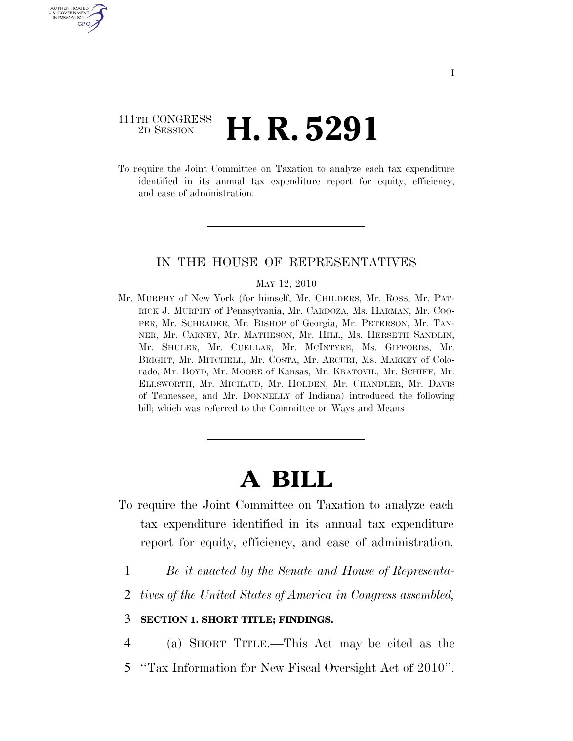# 111TH CONGRESS <sup>2D SESSION</sup> **H. R. 5291**

U.S. GOVERNMENT GPO

> To require the Joint Committee on Taxation to analyze each tax expenditure identified in its annual tax expenditure report for equity, efficiency, and ease of administration.

### IN THE HOUSE OF REPRESENTATIVES

#### MAY 12, 2010

Mr. MURPHY of New York (for himself, Mr. CHILDERS, Mr. ROSS, Mr. PAT-RICK J. MURPHY of Pennsylvania, Mr. CARDOZA, Ms. HARMAN, Mr. COO-PER, Mr. SCHRADER, Mr. BISHOP of Georgia, Mr. PETERSON, Mr. TAN-NER, Mr. CARNEY, Mr. MATHESON, Mr. HILL, Ms. HERSETH SANDLIN, Mr. SHULER, Mr. CUELLAR, Mr. MCINTYRE, Ms. GIFFORDS, Mr. BRIGHT, Mr. MITCHELL, Mr. COSTA, Mr. ARCURI, Ms. MARKEY of Colorado, Mr. BOYD, Mr. MOORE of Kansas, Mr. KRATOVIL, Mr. SCHIFF, Mr. ELLSWORTH, Mr. MICHAUD, Mr. HOLDEN, Mr. CHANDLER, Mr. DAVIS of Tennessee, and Mr. DONNELLY of Indiana) introduced the following bill; which was referred to the Committee on Ways and Means

# **A BILL**

- To require the Joint Committee on Taxation to analyze each tax expenditure identified in its annual tax expenditure report for equity, efficiency, and ease of administration.
	- 1 *Be it enacted by the Senate and House of Representa-*
	- 2 *tives of the United States of America in Congress assembled,*

## 3 **SECTION 1. SHORT TITLE; FINDINGS.**

4 (a) SHORT TITLE.—This Act may be cited as the

5 ''Tax Information for New Fiscal Oversight Act of 2010''.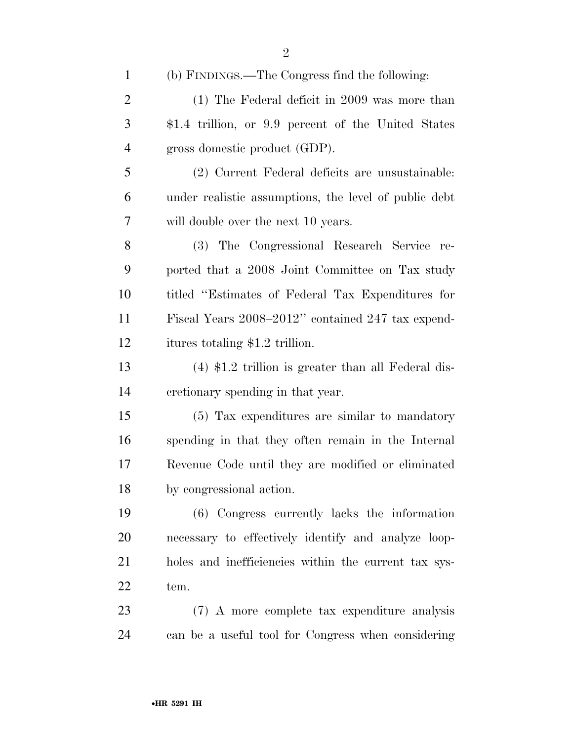| $\mathbf{1}$   | (b) FINDINGS.—The Congress find the following:        |
|----------------|-------------------------------------------------------|
| $\overline{2}$ | $(1)$ The Federal deficit in 2009 was more than       |
| 3              | \$1.4 trillion, or 9.9 percent of the United States   |
| $\overline{4}$ | gross domestic product (GDP).                         |
| 5              | (2) Current Federal deficits are unsustainable:       |
| 6              | under realistic assumptions, the level of public debt |
| 7              | will double over the next 10 years.                   |
| 8              | (3) The Congressional Research Service re-            |
| 9              | ported that a 2008 Joint Committee on Tax study       |
| 10             | titled "Estimates of Federal Tax Expenditures for     |
| 11             | Fiscal Years 2008–2012" contained 247 tax expend-     |
| 12             | itures totaling \$1.2 trillion.                       |
| 13             | $(4)$ \$1.2 trillion is greater than all Federal dis- |
| 14             | cretionary spending in that year.                     |
| 15             | (5) Tax expenditures are similar to mandatory         |
| 16             | spending in that they often remain in the Internal    |
| 17             | Revenue Code until they are modified or eliminated    |
| 18             | by congressional action.                              |
| 19             | (6) Congress currently lacks the information          |
| <b>20</b>      | necessary to effectively identify and analyze loop-   |
| 21             | holes and inefficiencies within the current tax sys-  |
| 22             | tem.                                                  |
| 23             | (7) A more complete tax expenditure analysis          |
| 24             | can be a useful tool for Congress when considering    |